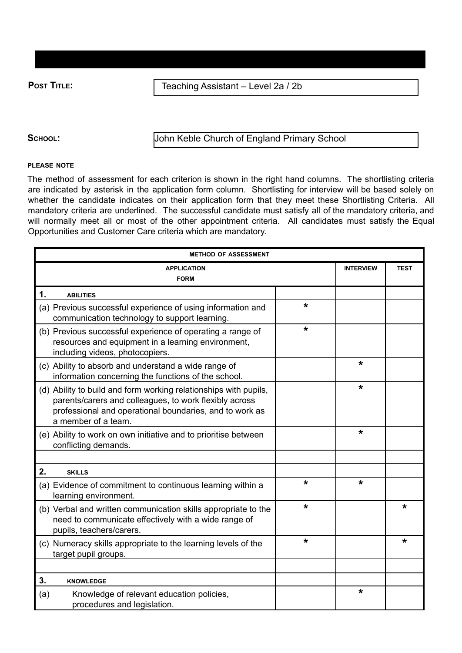**Post Title:**  $\vert$  **Teaching Assistant – Level 2a / 2b** 

SCHOOL: John Keble Church of England Primary School

## **PLEASE NOTE**

The method of assessment for each criterion is shown in the right hand columns. The shortlisting criteria are indicated by asterisk in the application form column. Shortlisting for interview will be based solely on whether the candidate indicates on their application form that they meet these Shortlisting Criteria. All mandatory criteria are underlined. The successful candidate must satisfy all of the mandatory criteria, and will normally meet all or most of the other appointment criteria. All candidates must satisfy the Equal Opportunities and Customer Care criteria which are mandatory.

| <b>METHOD OF ASSESSMENT</b>                                                                                                                                                                                  |         |                  |             |  |  |
|--------------------------------------------------------------------------------------------------------------------------------------------------------------------------------------------------------------|---------|------------------|-------------|--|--|
| <b>APPLICATION</b>                                                                                                                                                                                           |         | <b>INTERVIEW</b> | <b>TEST</b> |  |  |
| <b>FORM</b>                                                                                                                                                                                                  |         |                  |             |  |  |
| 1.<br><b>ABILITIES</b>                                                                                                                                                                                       |         |                  |             |  |  |
| (a) Previous successful experience of using information and<br>communication technology to support learning.                                                                                                 | $\star$ |                  |             |  |  |
| (b) Previous successful experience of operating a range of<br>resources and equipment in a learning environment,<br>including videos, photocopiers.                                                          | *       |                  |             |  |  |
| (c) Ability to absorb and understand a wide range of<br>information concerning the functions of the school.                                                                                                  |         | *                |             |  |  |
| (d) Ability to build and form working relationships with pupils,<br>parents/carers and colleagues, to work flexibly across<br>professional and operational boundaries, and to work as<br>a member of a team. |         | $\star$          |             |  |  |
| (e) Ability to work on own initiative and to prioritise between<br>conflicting demands.                                                                                                                      |         | *                |             |  |  |
|                                                                                                                                                                                                              |         |                  |             |  |  |
| 2.<br><b>SKILLS</b>                                                                                                                                                                                          |         |                  |             |  |  |
| (a) Evidence of commitment to continuous learning within a<br>learning environment.                                                                                                                          | *       | $\star$          |             |  |  |
| (b) Verbal and written communication skills appropriate to the<br>need to communicate effectively with a wide range of<br>pupils, teachers/carers.                                                           | $\star$ |                  | $\star$     |  |  |
| (c) Numeracy skills appropriate to the learning levels of the<br>target pupil groups.                                                                                                                        | $\star$ |                  | $\star$     |  |  |
|                                                                                                                                                                                                              |         |                  |             |  |  |
| 3.<br><b>KNOWLEDGE</b>                                                                                                                                                                                       |         |                  |             |  |  |
| Knowledge of relevant education policies,<br>(a)<br>procedures and legislation.                                                                                                                              |         | *                |             |  |  |